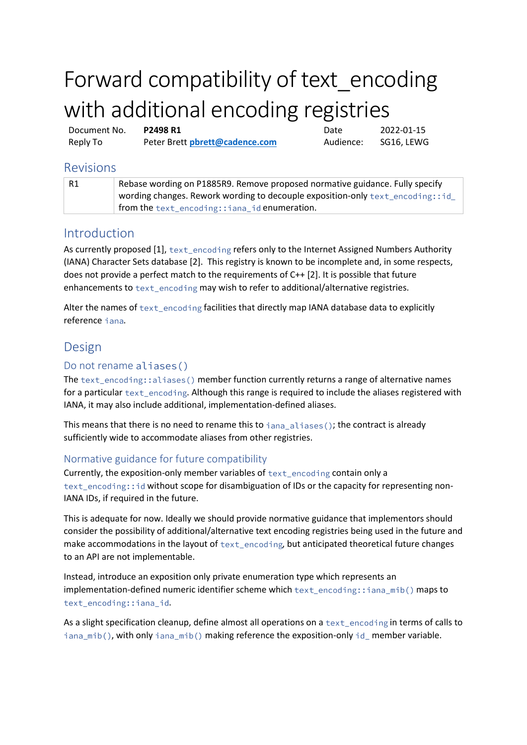# Forward compatibility of text\_encoding with additional encoding registries

Document No. **P2498 R1** Date 2022-01-15 Reply To Peter Brett **[pbrett@cadence.com](mailto:pbrett@cadence.com?subject=Re:%20P1892R0%20Extended%20locale-specific%20presentation%20specifiers%20for%20std::format)** Audience: SG16, LEWG

## Revisions

| - R1 | Rebase wording on P1885R9. Remove proposed normative guidance. Fully specify   |
|------|--------------------------------------------------------------------------------|
|      | wording changes. Rework wording to decouple exposition-only text_encoding::id_ |
|      | from the text_encoding::iana_id enumeration.                                   |

# Introduction

As currently proposed  $[1]$ ,  $text$ ext encoding refers only to the Internet Assigned Numbers Authority (IANA) Character Sets database [2]. This registry is known to be incomplete and, in some respects, does not provide a perfect match to the requirements of C++ [2]. It is possible that future enhancements to text\_encoding may wish to refer to additional/alternative registries.

Alter the names of  $text{text\_encoding}$  facilities that directly map IANA database data to explicitly reference iana.

# Design

## Do not rename aliases()

The  $text\_encoding: \text{:} \text{aliases() member function currently returns a range of alternative names}$ for a particular  $texttext{text\_encoding}$ . Although this range is required to include the aliases registered with IANA, it may also include additional, implementation-defined aliases.

This means that there is no need to rename this to  $i$  ana\_aliases(); the contract is already sufficiently wide to accommodate aliases from other registries.

## Normative guidance for future compatibility

Currently, the exposition-only member variables of  $text{text encoding}$  contain only a text\_encoding: : id without scope for disambiguation of IDs or the capacity for representing non-IANA IDs, if required in the future.

This is adequate for now. Ideally we should provide normative guidance that implementors should consider the possibility of additional/alternative text encoding registries being used in the future and make accommodations in the layout of  $text$ <sub>text\_encoding</sub>, but anticipated theoretical future changes to an API are not implementable.

Instead, introduce an exposition only private enumeration type which represents an implementation-defined numeric identifier scheme which  $text$  encoding: : iana mib() maps to text\_encoding::iana\_id.

As a slight specification cleanup, define almost all operations on a  $texttext{text\_encoding}$  in terms of calls to iana\_mib(), with only iana\_mib() making reference the exposition-only id\_ member variable.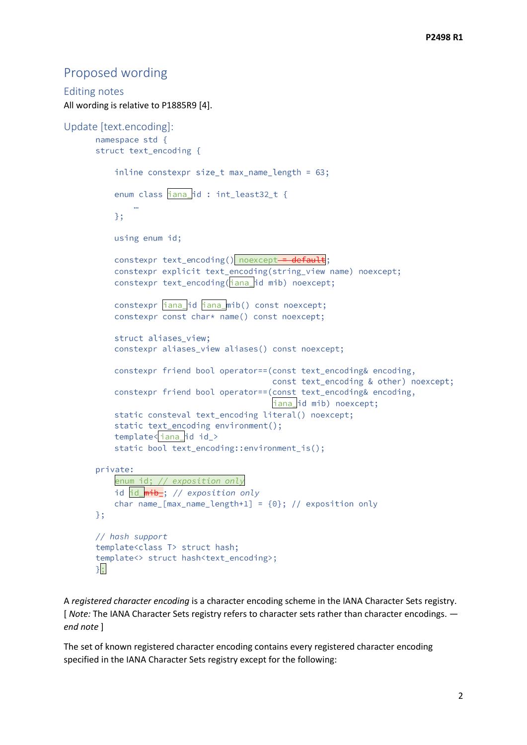## Proposed wording

```
Editing notes
All wording is relative to P1885R9 [4].
Update [text.encoding]:
      namespace std {
      struct text_encoding {
           inline constexpr size_t max_name_length = 63;
           enum class iana id : int least32 t {
          \};
          using enum id;
           constexpr text_encoding() noexcept = default;
           constexpr explicit text_encoding(string_view name) noexcept;
           constexpr text_encoding(iana_id mib) noexcept;
           constexpr iana_id iana_mib() const noexcept;
           constexpr const char* name() const noexcept;
           struct aliases view:
           constexpr aliases_view aliases() const noexcept;
           constexpr friend bool operator==(const text_encoding& encoding,
                                             const text_encoding & other) noexcept;
           constexpr friend bool operator==(const text_encoding& encoding,
                                             iana_id mib) noexcept;
           static consteval text_encoding literal() noexcept;
           static text_encoding environment();
           template<iana_idid_>
           static bool text_encoding::environment_is();
      private:
           enum id; // exposition only
           id id_mib_; // exposition only
           char name \lceil \max name length+1] = \{0\}; // exposition only
      \};
      // hash support
      template<class T> struct hash;
       template<> struct hash<text_encoding>;
      \};
```
A *registered character encoding* is a character encoding scheme in the IANA Character Sets registry. [ *Note:* The IANA Character Sets registry refers to character sets rather than character encodings.  *end note* ]

The set of known registered character encoding contains every registered character encoding specified in the IANA Character Sets registry except for the following: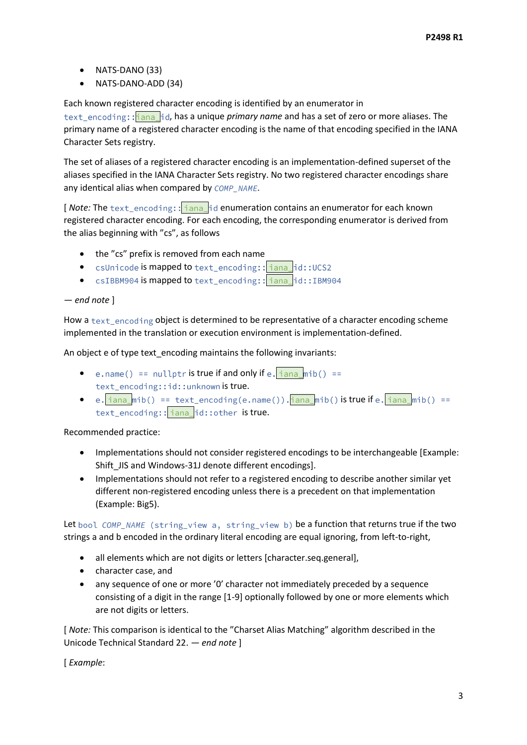- NATS-DANO (33)
- NATS-DANO-ADD (34)

Each known registered character encoding is identified by an enumerator in

text\_encoding:: hana\_id, has a unique *primary name* and has a set of zero or more aliases. The primary name of a registered character encoding is the name of that encoding specified in the IANA Character Sets registry.

The set of aliases of a registered character encoding is an implementation-defined superset of the aliases specified in the IANA Character Sets registry. No two registered character encodings share any identical alias when compared by COMP\_NAME.

[*Note:* The text\_encoding:: iana\_id enumeration contains an enumerator for each known registered character encoding. For each encoding, the corresponding enumerator is derived from the alias beginning with "cs", as follows

- the "cs" prefix is removed from each name
- csUnicode is mapped to text\_encoding:: iana\_id::UCS2
- csIBBM904 is mapped to text\_encoding:: iana id::IBM904

### *— end note* ]

How a text\_encoding object is determined to be representative of a character encoding scheme implemented in the translation or execution environment is implementation-defined.

An object e of type text\_encoding maintains the following invariants:

- e.name() == nullptr is true if and only if e.  $\frac{1}{1}$  ana mib() == text\_encoding::id::unknown is true.
- e.  $\frac{1}{1}$  ana\_mib() == text\_encoding(e.name()).  $\frac{1}{1}$  ana\_mib() is true if e.  $\frac{1}{1}$  ana\_mib() == text\_encoding:: iana\_id::other is true.

Recommended practice:

- Implementations should not consider registered encodings to be interchangeable [Example: Shift\_JIS and Windows-31J denote different encodings].
- Implementations should not refer to a registered encoding to describe another similar yet different non-registered encoding unless there is a precedent on that implementation (Example: Big5).

Let bool COMP\_NAME (string\_view a, string\_view b) be a function that returns true if the two strings a and b encoded in the ordinary literal encoding are equal ignoring, from left-to-right,

- all elements which are not digits or letters [character.seq.general],
- character case, and
- any sequence of one or more '0' character not immediately preceded by a sequence consisting of a digit in the range [1-9] optionally followed by one or more elements which are not digits or letters.

[ *Note:* This comparison is identical to the "Charset Alias Matching" algorithm described in the Unicode Technical Standard 22. *— end note* ]

[ *Example*: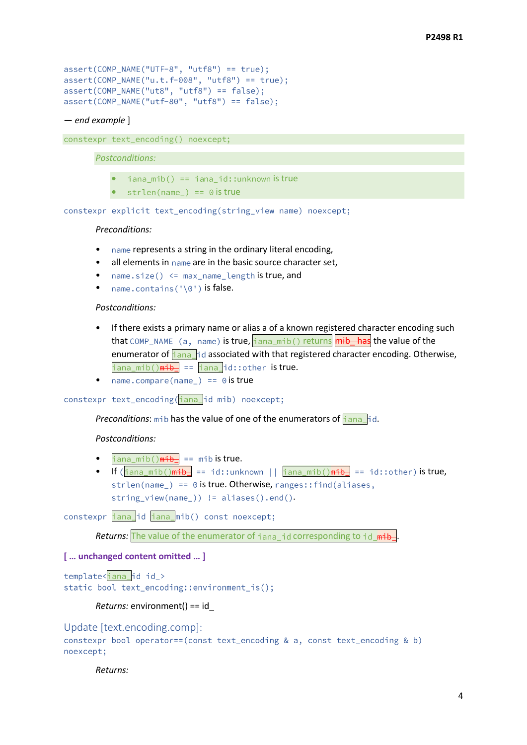```
assert(COMP_NAME("UTF-8", "utf8") == true);assert(COMP\_NAME("u.t.f-008", "utf8") == true);assert(COMP\_NAME("uts", "utf8") == false);assert(COMP\_NAME("utf-80", "utf8") == false);
```
#### — *end example* ]

constexpr text\_encoding() noexcept;

#### *Postconditions:*

- $i$ ana mib $(i) == i$ ana id::unknown is true
- strlen(name) ==  $0$  is true

constexpr explicit text encoding(string view name) noexcept;

#### *Preconditions:*

- name represents a string in the ordinary literal encoding,
- all elements in name are in the basic source character set,
- name.size()  $\le$  max\_name\_length is true, and
- name.contains('\0') is false.

#### *Postconditions:*

- If there exists a primary name or alias a of a known registered character encoding such that COMP\_NAME (a, name) is true, iana\_mib() returns mib\_has the value of the enumerator of  $\frac{1}{1}$  and  $\frac{1}{1}$  d associated with that registered character encoding. Otherwise,  $\frac{1}{\pi}$ iana\_mib() $\frac{1}{\pi}$  ==  $\frac{1}{\pi}$ iana\_id::other is true.
- name.compare(name) ==  $\theta$  is true

## constexpr text\_encoding(iana\_id mib) noexcept;

*Preconditions*: mib has the value of one of the enumerators of  $\frac{1}{1}$  ana id.

#### *Postconditions:*

- $i$ ana\_mib() $\frac{m}{m}$  == mib is true.
- If  $(\frac{1}{1}$ ana\_mib() $\frac{m+b}{2}$  == id::unknown ||  $\frac{1}{1}$ ana\_mib() $\frac{m+b}{2}$  == id::other) is true, strlen(name) ==  $\theta$  is true. Otherwise, ranges:: find(aliases, string\_view(name\_)) != aliases().end().

## constexpr iana\_id iana\_mib() const noexcept;

*Returns:* The value of the enumerator of iana\_id corresponding to id\_mib-

## **[ … unchanged content omitted … ]**

template<iana id id\_> static bool text\_encoding::environment\_is();

#### *Returns:* environment() == id\_

Update [text.encoding.comp]:

```
constexpr bool operator==(const text_encoding & a, const text_encoding & b)
noexcept;
```
#### *Returns:*